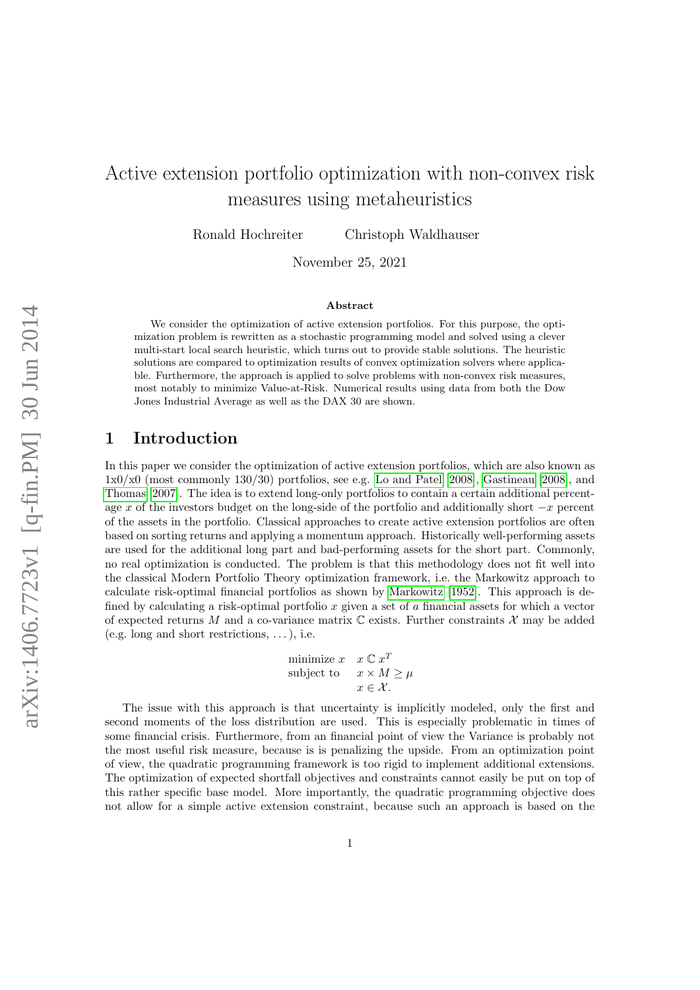# Active extension portfolio optimization with non-convex risk measures using metaheuristics

Ronald Hochreiter Christoph Waldhauser

November 25, 2021

#### Abstract

We consider the optimization of active extension portfolios. For this purpose, the optimization problem is rewritten as a stochastic programming model and solved using a clever multi-start local search heuristic, which turns out to provide stable solutions. The heuristic solutions are compared to optimization results of convex optimization solvers where applicable. Furthermore, the approach is applied to solve problems with non-convex risk measures, most notably to minimize Value-at-Risk. Numerical results using data from both the Dow Jones Industrial Average as well as the DAX 30 are shown.

## 1 Introduction

In this paper we consider the optimization of active extension portfolios, which are also known as  $1x0/x0$  (most commonly  $130/30$ ) portfolios, see e.g. [Lo and Patel](#page-7-0) [\[2008\]](#page-6-0), [Gastineau](#page-6-0) [2008], and [Thomas](#page-7-1) [\[2007\]](#page-7-1). The idea is to extend long-only portfolios to contain a certain additional percentage x of the investors budget on the long-side of the portfolio and additionally short  $-x$  percent of the assets in the portfolio. Classical approaches to create active extension portfolios are often based on sorting returns and applying a momentum approach. Historically well-performing assets are used for the additional long part and bad-performing assets for the short part. Commonly, no real optimization is conducted. The problem is that this methodology does not fit well into the classical Modern Portfolio Theory optimization framework, i.e. the Markowitz approach to calculate risk-optimal financial portfolios as shown by [Markowitz](#page-7-2) [\[1952\]](#page-7-2). This approach is defined by calculating a risk-optimal portfolio x given a set of  $\alpha$  financial assets for which a vector of expected returns M and a co-variance matrix  $\mathbb C$  exists. Further constraints  $\mathcal X$  may be added (e.g. long and short restrictions, . . . ), i.e.

> minimize  $x \quad x \in x^T$ subject to  $x \times M \ge \mu$  $x \in \mathcal{X}$ .

The issue with this approach is that uncertainty is implicitly modeled, only the first and second moments of the loss distribution are used. This is especially problematic in times of some financial crisis. Furthermore, from an financial point of view the Variance is probably not the most useful risk measure, because is is penalizing the upside. From an optimization point of view, the quadratic programming framework is too rigid to implement additional extensions. The optimization of expected shortfall objectives and constraints cannot easily be put on top of this rather specific base model. More importantly, the quadratic programming objective does not allow for a simple active extension constraint, because such an approach is based on the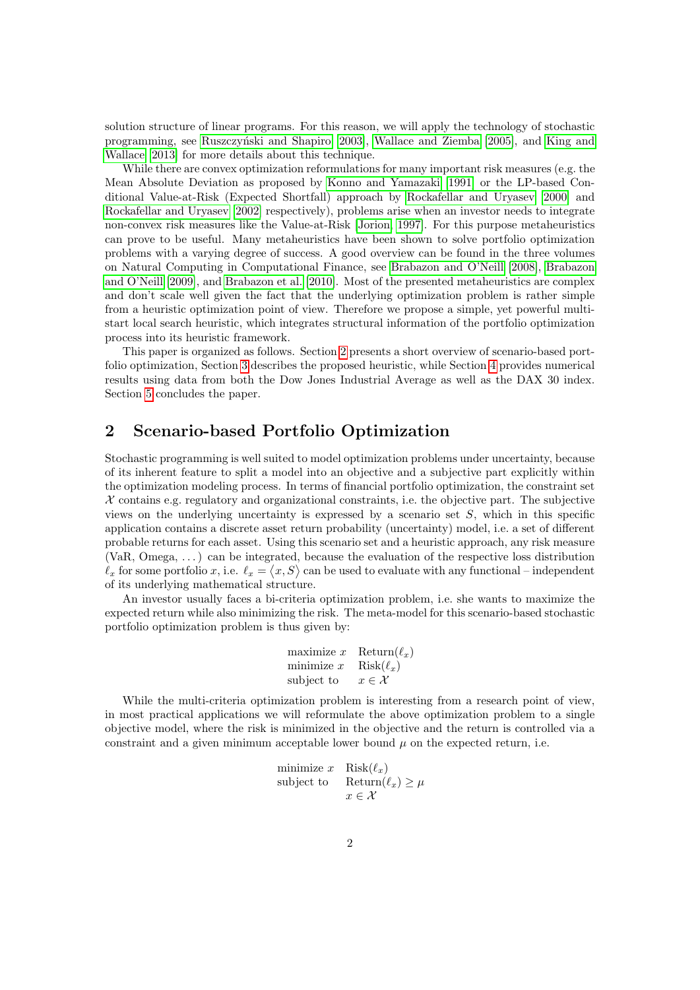solution structure of linear programs. For this reason, we will apply the technology of stochastic programming, see Ruszczyński and Shapiro [\[2003\]](#page-7-3), [Wallace and Ziemba](#page-7-4) [\[2005\]](#page-7-4), and [King and](#page-7-5) [Wallace](#page-7-5) [\[2013\]](#page-7-5) for more details about this technique.

While there are convex optimization reformulations for many important risk measures (e.g. the Mean Absolute Deviation as proposed by [Konno and Yamazaki](#page-7-6) [\[1991\]](#page-7-6) or the LP-based Conditional Value-at-Risk (Expected Shortfall) approach by [Rockafellar and Uryasev](#page-7-7) [\[2000\]](#page-7-7) and [Rockafellar and Uryasev](#page-7-8) [\[2002\]](#page-7-8) respectively), problems arise when an investor needs to integrate non-convex risk measures like the Value-at-Risk [\[Jorion, 1997\]](#page-7-9). For this purpose metaheuristics can prove to be useful. Many metaheuristics have been shown to solve portfolio optimization problems with a varying degree of success. A good overview can be found in the three volumes on Natural Computing in Computational Finance, see [Brabazon and O'Neill](#page-6-1) [\[2008\]](#page-6-1), [Brabazon](#page-6-2) [and O'Neill](#page-6-2) [\[2009\]](#page-6-2), and [Brabazon et al.](#page-6-3) [\[2010\]](#page-6-3). Most of the presented metaheuristics are complex and don't scale well given the fact that the underlying optimization problem is rather simple from a heuristic optimization point of view. Therefore we propose a simple, yet powerful multistart local search heuristic, which integrates structural information of the portfolio optimization process into its heuristic framework.

This paper is organized as follows. Section [2](#page-1-0) presents a short overview of scenario-based portfolio optimization, Section [3](#page-2-0) describes the proposed heuristic, while Section [4](#page-2-1) provides numerical results using data from both the Dow Jones Industrial Average as well as the DAX 30 index. Section [5](#page-6-4) concludes the paper.

# <span id="page-1-0"></span>2 Scenario-based Portfolio Optimization

Stochastic programming is well suited to model optimization problems under uncertainty, because of its inherent feature to split a model into an objective and a subjective part explicitly within the optimization modeling process. In terms of financial portfolio optimization, the constraint set  $X$  contains e.g. regulatory and organizational constraints, i.e. the objective part. The subjective views on the underlying uncertainty is expressed by a scenario set  $S$ , which in this specific application contains a discrete asset return probability (uncertainty) model, i.e. a set of different probable returns for each asset. Using this scenario set and a heuristic approach, any risk measure (VaR, Omega, . . . ) can be integrated, because the evaluation of the respective loss distribution  $\ell_x$  for some portfolio x, i.e.  $\ell_x = \langle x, S \rangle$  can be used to evaluate with any functional – independent of its underlying mathematical structure.

An investor usually faces a bi-criteria optimization problem, i.e. she wants to maximize the expected return while also minimizing the risk. The meta-model for this scenario-based stochastic portfolio optimization problem is thus given by:

$$
\begin{array}{ll}\n\text{maximize } x & \text{Return}(\ell_x) \\
\text{minimize } x & \text{Risk}(\ell_x) \\
\text{subject to} & x \in \mathcal{X}\n\end{array}
$$

While the multi-criteria optimization problem is interesting from a research point of view, in most practical applications we will reformulate the above optimization problem to a single objective model, where the risk is minimized in the objective and the return is controlled via a constraint and a given minimum acceptable lower bound  $\mu$  on the expected return, i.e.

minimize 
$$
x
$$
 Risk( $\ell_x$ )  
subject to Return( $\ell_x$ )  $\geq \mu$   
 $x \in \mathcal{X}$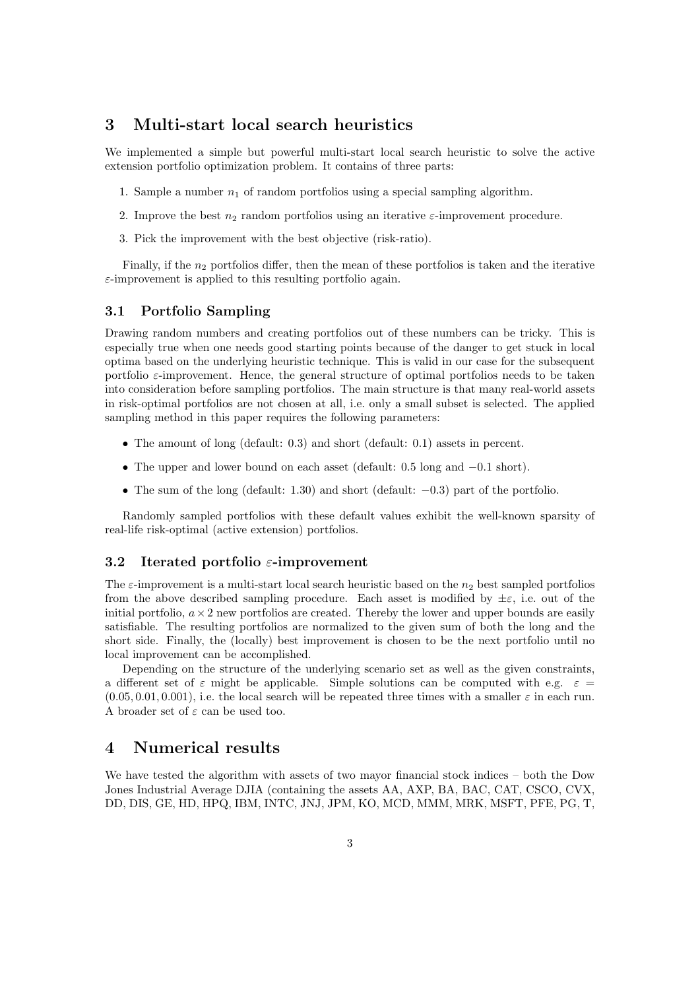## <span id="page-2-0"></span>3 Multi-start local search heuristics

We implemented a simple but powerful multi-start local search heuristic to solve the active extension portfolio optimization problem. It contains of three parts:

- 1. Sample a number  $n_1$  of random portfolios using a special sampling algorithm.
- 2. Improve the best  $n_2$  random portfolios using an iterative  $\varepsilon$ -improvement procedure.
- 3. Pick the improvement with the best objective (risk-ratio).

Finally, if the  $n_2$  portfolios differ, then the mean of these portfolios is taken and the iterative  $\varepsilon$ -improvement is applied to this resulting portfolio again.

### 3.1 Portfolio Sampling

Drawing random numbers and creating portfolios out of these numbers can be tricky. This is especially true when one needs good starting points because of the danger to get stuck in local optima based on the underlying heuristic technique. This is valid in our case for the subsequent portfolio  $\varepsilon$ -improvement. Hence, the general structure of optimal portfolios needs to be taken into consideration before sampling portfolios. The main structure is that many real-world assets in risk-optimal portfolios are not chosen at all, i.e. only a small subset is selected. The applied sampling method in this paper requires the following parameters:

- The amount of long (default: 0.3) and short (default: 0.1) assets in percent.
- The upper and lower bound on each asset (default: 0.5 long and −0.1 short).
- The sum of the long (default: 1.30) and short (default:  $-0.3$ ) part of the portfolio.

Randomly sampled portfolios with these default values exhibit the well-known sparsity of real-life risk-optimal (active extension) portfolios.

#### 3.2 Iterated portfolio  $\varepsilon$ -improvement

The  $\varepsilon$ -improvement is a multi-start local search heuristic based on the  $n_2$  best sampled portfolios from the above described sampling procedure. Each asset is modified by  $\pm \varepsilon$ , i.e. out of the initial portfolio,  $a \times 2$  new portfolios are created. Thereby the lower and upper bounds are easily satisfiable. The resulting portfolios are normalized to the given sum of both the long and the short side. Finally, the (locally) best improvement is chosen to be the next portfolio until no local improvement can be accomplished.

Depending on the structure of the underlying scenario set as well as the given constraints, a different set of  $\varepsilon$  might be applicable. Simple solutions can be computed with e.g.  $\varepsilon =$  $(0.05, 0.01, 0.001)$ , i.e. the local search will be repeated three times with a smaller  $\varepsilon$  in each run. A broader set of  $\varepsilon$  can be used too.

## <span id="page-2-1"></span>4 Numerical results

We have tested the algorithm with assets of two mayor financial stock indices – both the Dow Jones Industrial Average DJIA (containing the assets AA, AXP, BA, BAC, CAT, CSCO, CVX, DD, DIS, GE, HD, HPQ, IBM, INTC, JNJ, JPM, KO, MCD, MMM, MRK, MSFT, PFE, PG, T,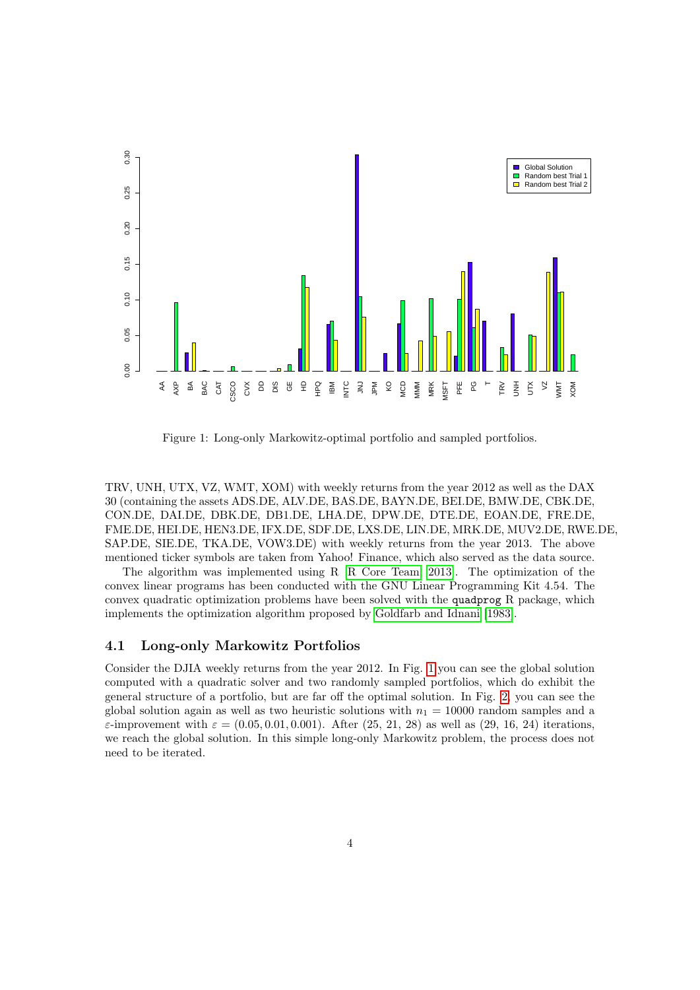

<span id="page-3-0"></span>Figure 1: Long-only Markowitz-optimal portfolio and sampled portfolios.

TRV, UNH, UTX, VZ, WMT, XOM) with weekly returns from the year 2012 as well as the DAX 30 (containing the assets ADS.DE, ALV.DE, BAS.DE, BAYN.DE, BEI.DE, BMW.DE, CBK.DE, CON.DE, DAI.DE, DBK.DE, DB1.DE, LHA.DE, DPW.DE, DTE.DE, EOAN.DE, FRE.DE, FME.DE, HEI.DE, HEN3.DE, IFX.DE, SDF.DE, LXS.DE, LIN.DE, MRK.DE, MUV2.DE, RWE.DE, SAP.DE, SIE.DE, TKA.DE, VOW3.DE) with weekly returns from the year 2013. The above mentioned ticker symbols are taken from Yahoo! Finance, which also served as the data source.

The algorithm was implemented using R [\[R Core Team, 2013\]](#page-7-10). The optimization of the convex linear programs has been conducted with the GNU Linear Programming Kit 4.54. The convex quadratic optimization problems have been solved with the quadprog R package, which implements the optimization algorithm proposed by [Goldfarb and Idnani](#page-7-11) [\[1983\]](#page-7-11).

### 4.1 Long-only Markowitz Portfolios

Consider the DJIA weekly returns from the year 2012. In Fig. [1](#page-3-0) you can see the global solution computed with a quadratic solver and two randomly sampled portfolios, which do exhibit the general structure of a portfolio, but are far off the optimal solution. In Fig. [2,](#page-4-0) you can see the global solution again as well as two heuristic solutions with  $n_1 = 10000$  random samples and a ε-improvement with  $ε = (0.05, 0.01, 0.001)$ . After (25, 21, 28) as well as (29, 16, 24) iterations, we reach the global solution. In this simple long-only Markowitz problem, the process does not need to be iterated.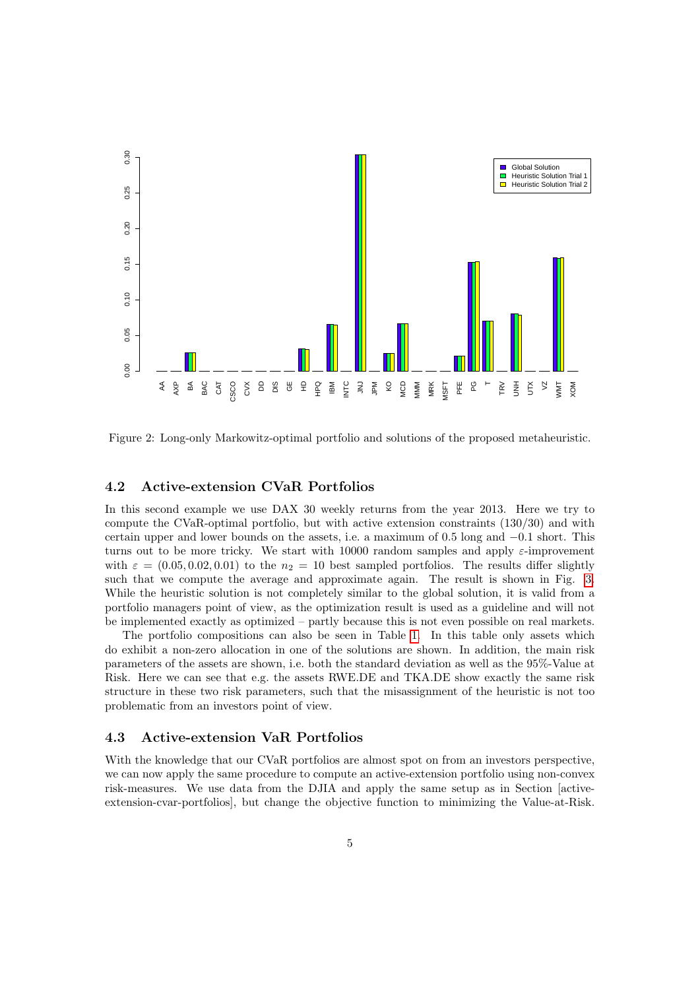

<span id="page-4-0"></span>Figure 2: Long-only Markowitz-optimal portfolio and solutions of the proposed metaheuristic.

## 4.2 Active-extension CVaR Portfolios

In this second example we use DAX 30 weekly returns from the year 2013. Here we try to compute the CVaR-optimal portfolio, but with active extension constraints (130/30) and with certain upper and lower bounds on the assets, i.e. a maximum of 0.5 long and −0.1 short. This turns out to be more tricky. We start with 10000 random samples and apply  $\varepsilon$ -improvement with  $\varepsilon = (0.05, 0.02, 0.01)$  to the  $n_2 = 10$  best sampled portfolios. The results differ slightly such that we compute the average and approximate again. The result is shown in Fig. [3.](#page-5-0) While the heuristic solution is not completely similar to the global solution, it is valid from a portfolio managers point of view, as the optimization result is used as a guideline and will not be implemented exactly as optimized – partly because this is not even possible on real markets.

The portfolio compositions can also be seen in Table [1.](#page-5-1) In this table only assets which do exhibit a non-zero allocation in one of the solutions are shown. In addition, the main risk parameters of the assets are shown, i.e. both the standard deviation as well as the 95%-Value at Risk. Here we can see that e.g. the assets RWE.DE and TKA.DE show exactly the same risk structure in these two risk parameters, such that the misassignment of the heuristic is not too problematic from an investors point of view.

#### 4.3 Active-extension VaR Portfolios

With the knowledge that our CVaR portfolios are almost spot on from an investors perspective, we can now apply the same procedure to compute an active-extension portfolio using non-convex risk-measures. We use data from the DJIA and apply the same setup as in Section [activeextension-cvar-portfolios], but change the objective function to minimizing the Value-at-Risk.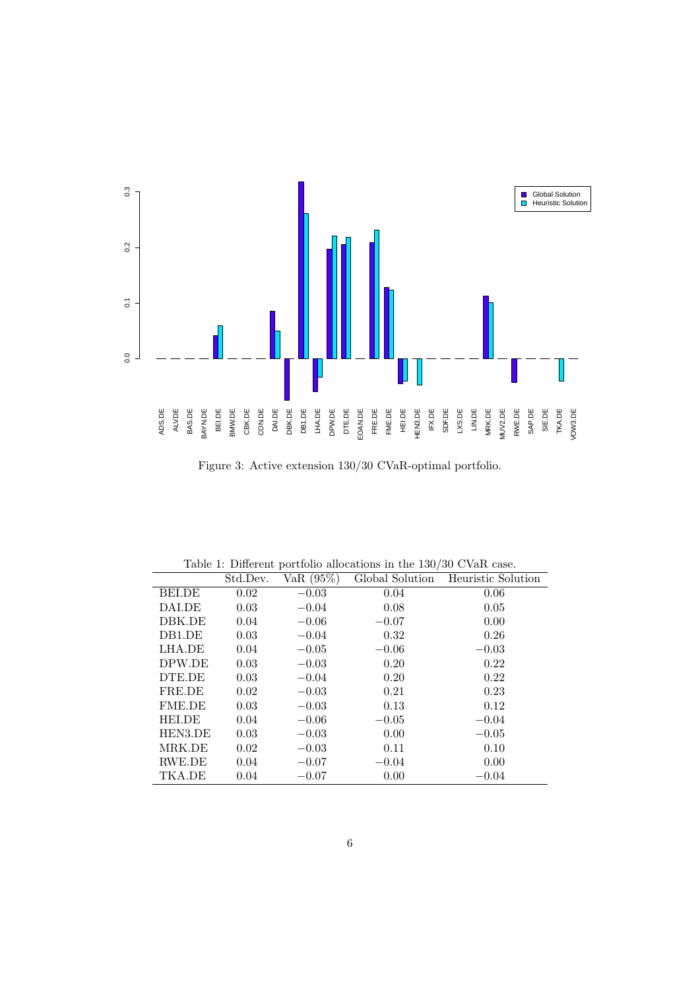

<span id="page-5-0"></span>Figure 3: Active extension 130/30 CVaR-optimal portfolio.

| <b>Lable 1.</b> Different portfolio anotations in the 190/90 $\cup$ vart case. |          |                               |         |                                    |
|--------------------------------------------------------------------------------|----------|-------------------------------|---------|------------------------------------|
|                                                                                | Std.Dev. | $\overline{\text{VaR}}(95\%)$ |         | Global Solution Heuristic Solution |
| <b>BEI.DE</b>                                                                  | 0.02     | $-0.03$                       | 0.04    | 0.06                               |
| DALDE                                                                          | 0.03     | $-0.04$                       | 0.08    | 0.05                               |
| DBK.DE                                                                         | 0.04     | $-0.06$                       | $-0.07$ | 0.00                               |
| DB1.DE                                                                         | 0.03     | $-0.04$                       | 0.32    | 0.26                               |
| LHA.DE                                                                         | 0.04     | $-0.05$                       | $-0.06$ | $-0.03$                            |
| DPW.DE                                                                         | 0.03     | $-0.03$                       | 0.20    | 0.22                               |
| DTE.DE                                                                         | 0.03     | $-0.04$                       | 0.20    | 0.22                               |
| FRE.DE                                                                         | 0.02     | $-0.03$                       | 0.21    | 0.23                               |
| FME.DE                                                                         | 0.03     | $-0.03$                       | 0.13    | 0.12                               |
| HELDE                                                                          | 0.04     | $-0.06$                       | $-0.05$ | $-0.04$                            |
| HEN3.DE                                                                        | 0.03     | $-0.03$                       | 0.00    | $-0.05$                            |
| MRK.DE                                                                         | 0.02     | $-0.03$                       | 0.11    | 0.10                               |
| RWE.DE                                                                         | 0.04     | $-0.07$                       | $-0.04$ | 0.00                               |
| TKA.DE                                                                         | 0.04     | $-0.07$                       | 0.00    | $-0.04$                            |

<span id="page-5-1"></span>Table 1: Different portfolio allocations in the 130/30 CVaR case.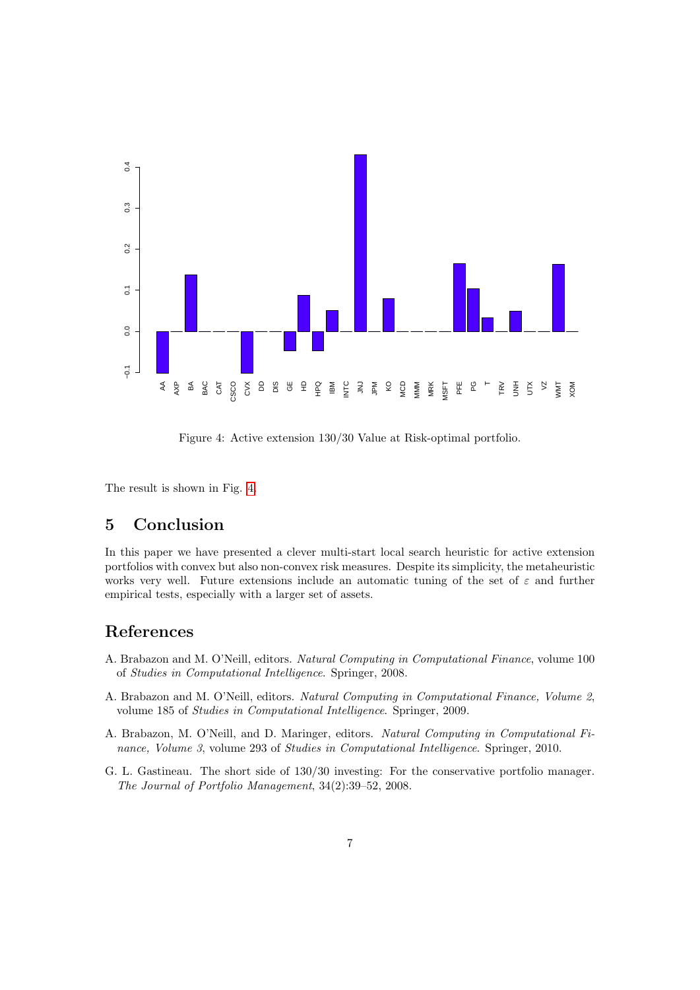

<span id="page-6-5"></span>Figure 4: Active extension 130/30 Value at Risk-optimal portfolio.

The result is shown in Fig. [4.](#page-6-5)

## <span id="page-6-4"></span>5 Conclusion

In this paper we have presented a clever multi-start local search heuristic for active extension portfolios with convex but also non-convex risk measures. Despite its simplicity, the metaheuristic works very well. Future extensions include an automatic tuning of the set of  $\varepsilon$  and further empirical tests, especially with a larger set of assets.

## References

- <span id="page-6-1"></span>A. Brabazon and M. O'Neill, editors. Natural Computing in Computational Finance, volume 100 of Studies in Computational Intelligence. Springer, 2008.
- <span id="page-6-2"></span>A. Brabazon and M. O'Neill, editors. Natural Computing in Computational Finance, Volume 2, volume 185 of Studies in Computational Intelligence. Springer, 2009.
- <span id="page-6-3"></span>A. Brabazon, M. O'Neill, and D. Maringer, editors. Natural Computing in Computational Finance, Volume 3, volume 293 of Studies in Computational Intelligence. Springer, 2010.
- <span id="page-6-0"></span>G. L. Gastineau. The short side of 130/30 investing: For the conservative portfolio manager. The Journal of Portfolio Management, 34(2):39–52, 2008.